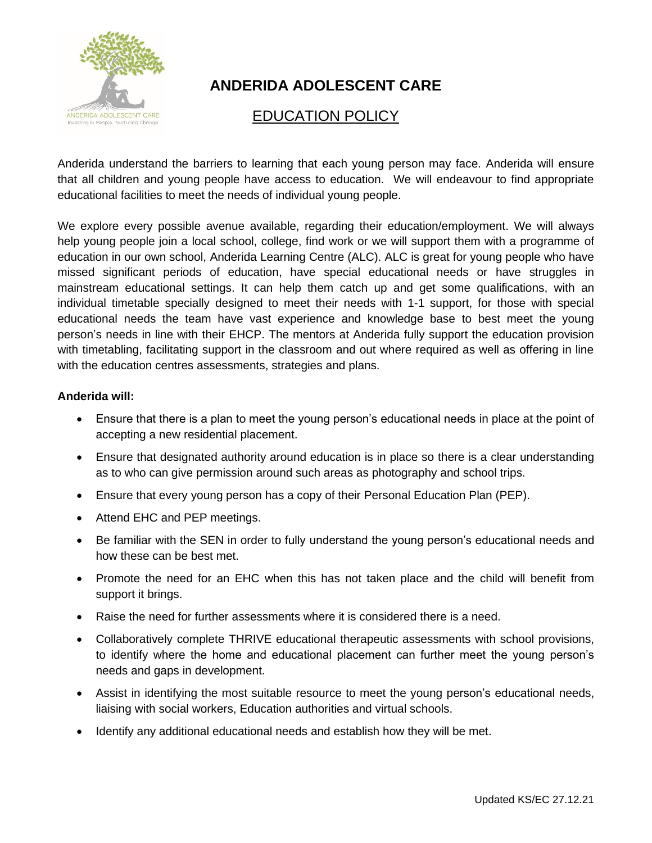

## **ANDERIDA ADOLESCENT CARE**

## EDUCATION POLICY

Anderida understand the barriers to learning that each young person may face. Anderida will ensure that all children and young people have access to education. We will endeavour to find appropriate educational facilities to meet the needs of individual young people.

We explore every possible avenue available, regarding their education/employment. We will always help young people join a local school, college, find work or we will support them with a programme of education in our own school, Anderida Learning Centre (ALC). ALC is great for young people who have missed significant periods of education, have special educational needs or have struggles in mainstream educational settings. It can help them catch up and get some qualifications, with an individual timetable specially designed to meet their needs with 1-1 support, for those with special educational needs the team have vast experience and knowledge base to best meet the young person's needs in line with their EHCP. The mentors at Anderida fully support the education provision with timetabling, facilitating support in the classroom and out where required as well as offering in line with the education centres assessments, strategies and plans.

## **Anderida will:**

- Ensure that there is a plan to meet the young person's educational needs in place at the point of accepting a new residential placement.
- Ensure that designated authority around education is in place so there is a clear understanding as to who can give permission around such areas as photography and school trips.
- Ensure that every young person has a copy of their Personal Education Plan (PEP).
- Attend EHC and PEP meetings.
- Be familiar with the SEN in order to fully understand the young person's educational needs and how these can be best met.
- Promote the need for an EHC when this has not taken place and the child will benefit from support it brings.
- Raise the need for further assessments where it is considered there is a need.
- Collaboratively complete THRIVE educational therapeutic assessments with school provisions, to identify where the home and educational placement can further meet the young person's needs and gaps in development.
- Assist in identifying the most suitable resource to meet the young person's educational needs, liaising with social workers, Education authorities and virtual schools.
- Identify any additional educational needs and establish how they will be met.